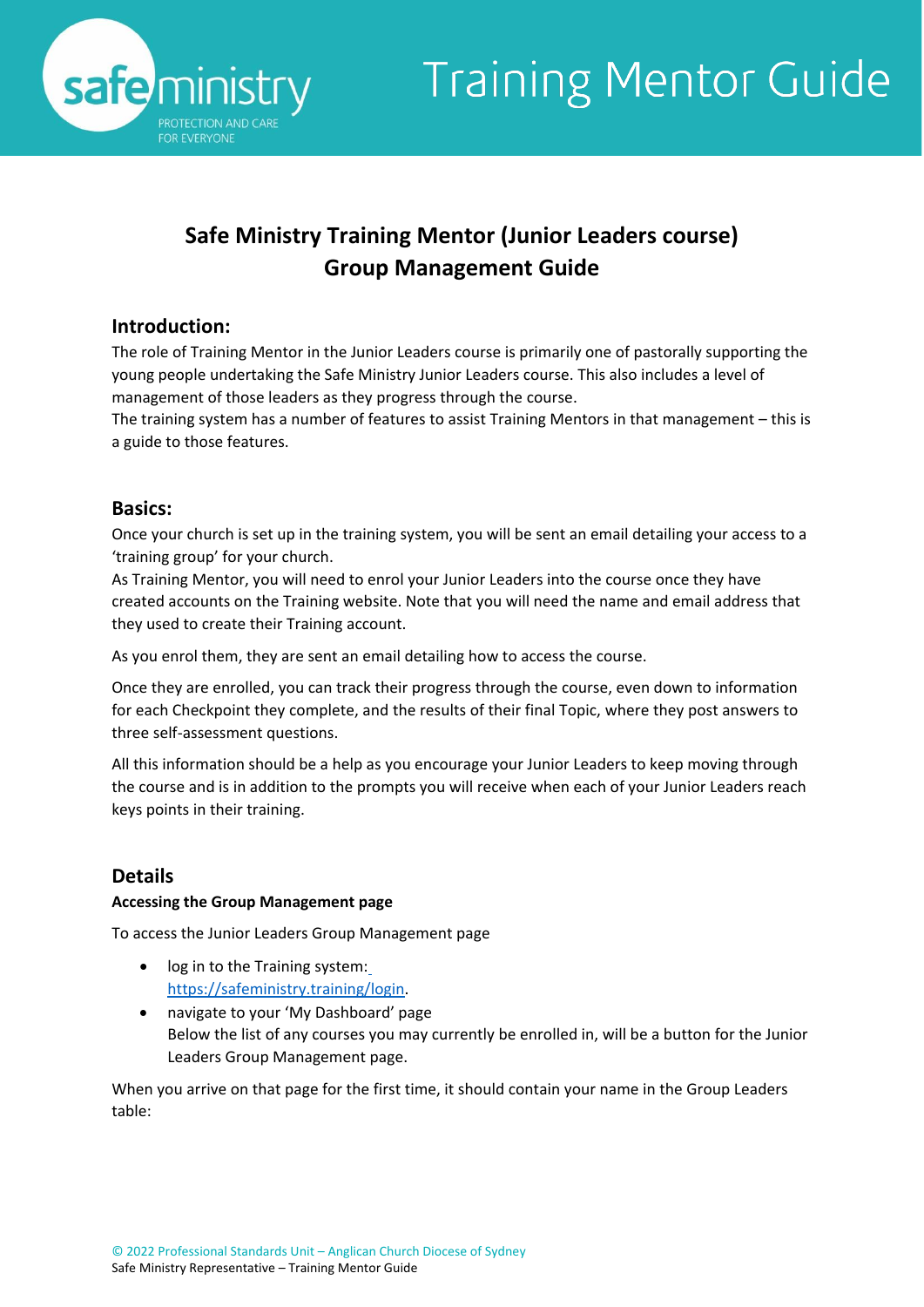

## **Safe Ministry Training Mentor (Junior Leaders course) Group Management Guide**

### **Introduction:**

The role of Training Mentor in the Junior Leaders course is primarily one of pastorally supporting the young people undertaking the Safe Ministry Junior Leaders course. This also includes a level of management of those leaders as they progress through the course.

The training system has a number of features to assist Training Mentors in that management – this is a guide to those features.

### **Basics:**

Once your church is set up in the training system, you will be sent an email detailing your access to a 'training group' for your church.

As Training Mentor, you will need to enrol your Junior Leaders into the course once they have created accounts on the Training website. Note that you will need the name and email address that they used to create their Training account.

As you enrol them, they are sent an email detailing how to access the course.

Once they are enrolled, you can track their progress through the course, even down to information for each Checkpoint they complete, and the results of their final Topic, where they post answers to three self-assessment questions.

All this information should be a help as you encourage your Junior Leaders to keep moving through the course and is in addition to the prompts you will receive when each of your Junior Leaders reach keys points in their training.

### **Details**

### **Accessing the Group Management page**

To access the Junior Leaders Group Management page

- log in to the Training system: [https://safeministry.training/login.](https://safeministry.training/login)
- navigate to your 'My Dashboard' page Below the list of any courses you may currently be enrolled in, will be a button for the Junior Leaders Group Management page.

When you arrive on that page for the first time, it should contain your name in the Group Leaders table: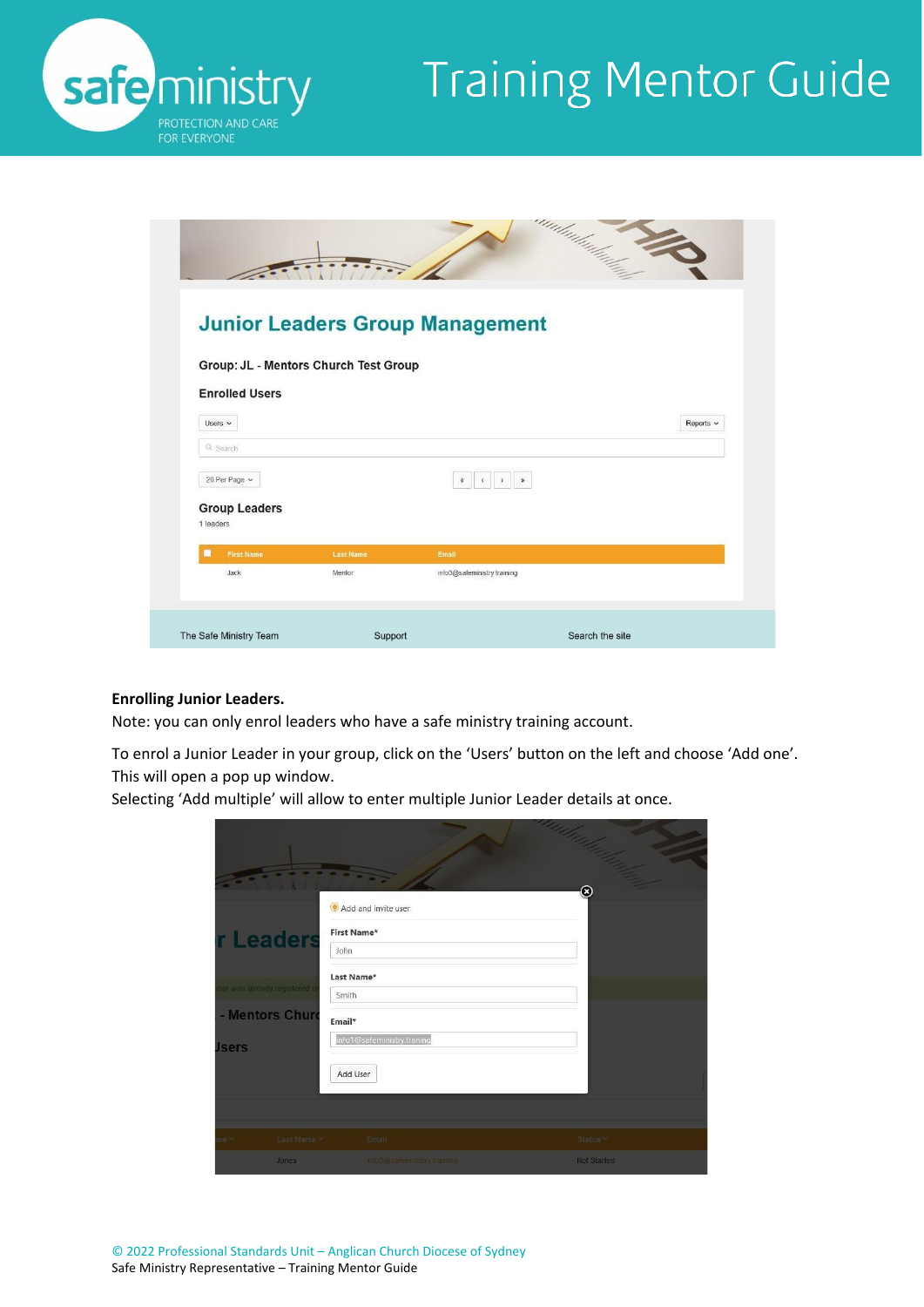

|                                       |                            |                                                     | amhudhad <sub>harta</sub> 14 |
|---------------------------------------|----------------------------|-----------------------------------------------------|------------------------------|
| Group: JL - Mentors Church Test Group |                            | <b>Junior Leaders Group Management</b>              |                              |
| <b>Enrolled Users</b><br>Users $\vee$ |                            |                                                     | Reports v                    |
| Q Search<br>20 Per Page v             |                            | $\,$ $\,$<br>$\mathbf{y}$<br>$\alpha$<br>$\epsilon$ |                              |
| <b>Group Leaders</b><br>1 leaders     |                            |                                                     |                              |
| ■<br><b>First Name</b><br>Jack        | <b>Last Name</b><br>Mentor | Email<br>info3@safeministry.training                |                              |
| The Safe Ministry Team                | Support                    |                                                     | Search the site              |

#### **Enrolling Junior Leaders.**

Note: you can only enrol leaders who have a safe ministry training account.

To enrol a Junior Leader in your group, click on the 'Users' button on the left and choose 'Add one'. This will open a pop up window.

Selecting 'Add multiple' will allow to enter multiple Junior Leader details at once.

|                              |             |                             | add Clara   |
|------------------------------|-------------|-----------------------------|-------------|
|                              |             |                             |             |
|                              |             | Add and invite user         | ⊗           |
| r Leaders                    |             | <b>First Name*</b>          |             |
|                              |             | John                        |             |
|                              |             | Last Name*                  |             |
| ser was already registered o |             | Smith                       |             |
| - Mentors Churc              |             | Email*                      |             |
| <b>Jsers</b>                 |             | info1@safeministry.traning  |             |
|                              |             | Add User                    |             |
|                              |             |                             |             |
|                              |             |                             |             |
| ne Y                         | Last Name Y | Email                       | Status Y    |
|                              | Jones       | info2@safeministry.training | Not Started |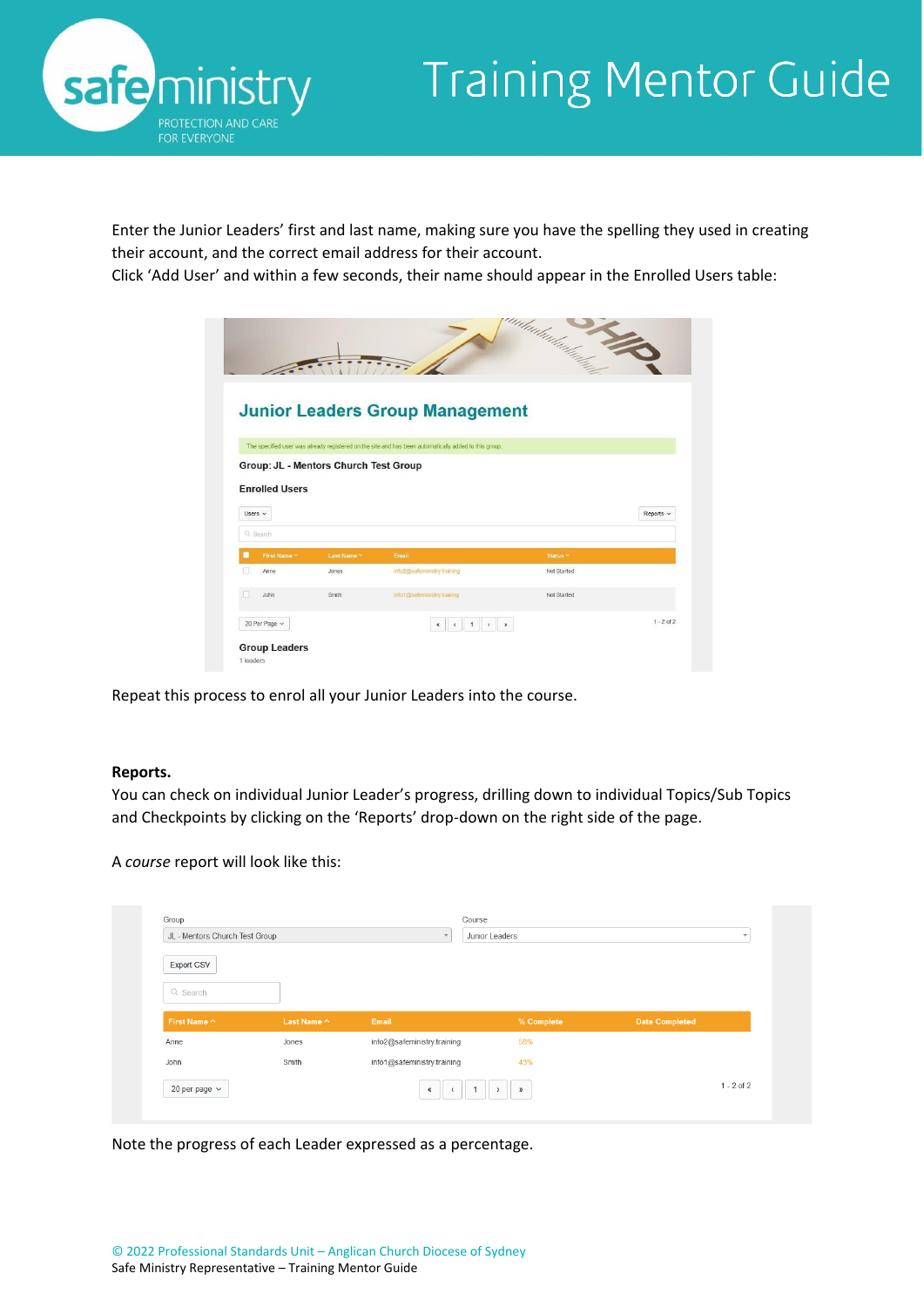



Enter the Junior Leaders' first and last name, making sure you have the spelling they used in creating their account, and the correct email address for their account.

Click 'Add User' and within a few seconds, their name should appear in the Enrolled Users table:

|                                       |           |                                                                                                       | umlimladarlarda     |                |
|---------------------------------------|-----------|-------------------------------------------------------------------------------------------------------|---------------------|----------------|
|                                       |           |                                                                                                       |                     |                |
|                                       |           |                                                                                                       |                     |                |
|                                       |           |                                                                                                       |                     |                |
|                                       |           | <b>Junior Leaders Group Management</b>                                                                |                     |                |
|                                       |           |                                                                                                       |                     |                |
|                                       |           | The specified user was already registered on the site and has been automatically added to this group. |                     |                |
| Group: JL - Mentors Church Test Group |           |                                                                                                       |                     |                |
|                                       |           |                                                                                                       |                     |                |
| <b>Enrolled Users</b>                 |           |                                                                                                       |                     |                |
| Users $\sim$                          |           |                                                                                                       |                     | Reports v      |
|                                       |           |                                                                                                       |                     |                |
|                                       |           |                                                                                                       |                     |                |
| Q Search                              |           |                                                                                                       |                     |                |
| п<br>First Name V                     | Last Name | Email                                                                                                 | Status <sup>V</sup> |                |
| п<br>Anne                             | Jones     | info2@safeministry.training                                                                           | Not Started         |                |
|                                       |           |                                                                                                       |                     |                |
| John                                  | Smith     | info1@safeministry.traning                                                                            | Not Started         |                |
| 20 Per Page v                         |           | 1<br>$\rightarrow$<br>K.                                                                              | $\mathbf{z}$        | $1 - 2$ of $2$ |

Repeat this process to enrol all your Junior Leaders into the course.

#### **Reports.**

You can check on individual Junior Leader's progress, drilling down to individual Topics/Sub Topics and Checkpoints by clicking on the 'Reports' drop-down on the right side of the page.

A *course* report will look like this:

| Group<br>JL - Mentors Church Test Group |             | Course<br>$\overline{\mathbf{v}}$ | Junior Leaders | $\overline{\phantom{a}}$ |
|-----------------------------------------|-------------|-----------------------------------|----------------|--------------------------|
| <b>Export CSV</b>                       |             |                                   |                |                          |
| Q Search                                |             |                                   |                |                          |
| First Name ^                            | Last Name ^ | Email                             | % Complete     | <b>Date Completed</b>    |
| Anne                                    | Jones       | info2@safeministry.training       | 58%            |                          |
| John                                    | Smith       | info1@safeministry.training       | 43%            |                          |
|                                         |             | $\alpha$                          | $\mathbf{v}$   | $1 - 2$ of 2             |

Note the progress of each Leader expressed as a percentage.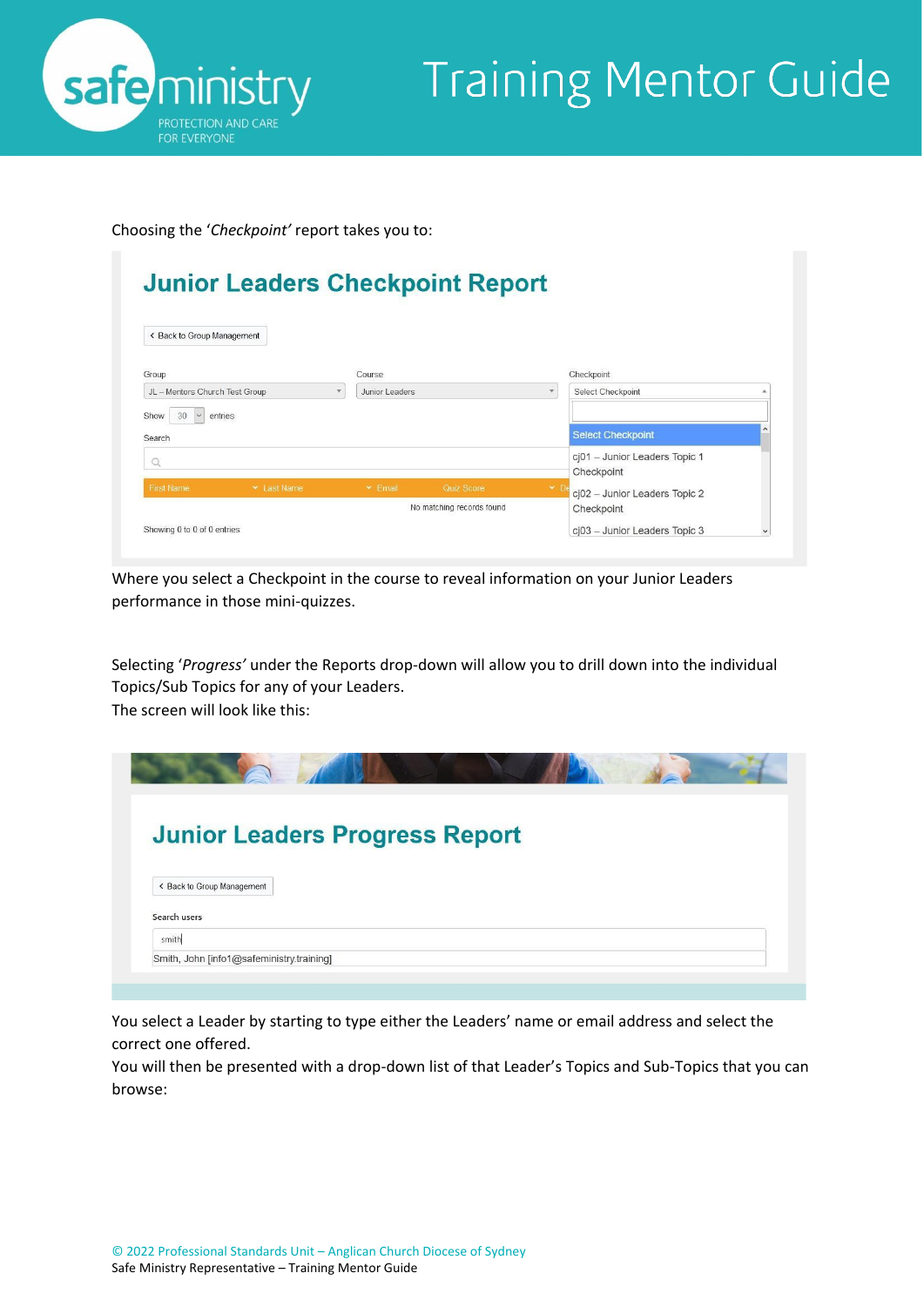

Choosing the '*Checkpoint'* report takes you to:

| < Back to Group Management     |                    |                |                           |              |                                             |  |
|--------------------------------|--------------------|----------------|---------------------------|--------------|---------------------------------------------|--|
| Group                          |                    | Course         |                           |              | Checkpoint                                  |  |
| JL - Mentors Church Test Group |                    | Junior Leaders |                           |              | Select Checkpoint                           |  |
| Show<br>30<br>Search           | entries            |                |                           |              | <b>Select Checkpoint</b>                    |  |
| O                              |                    |                |                           |              | cj01 - Junior Leaders Topic 1<br>Checkpoint |  |
| <b>First Name</b>              | <b>▼ Last Name</b> | $\times$ Email | Quiz Score                | $\mathbf{v}$ |                                             |  |
|                                |                    |                |                           |              | cj02 - Junior Leaders Topic 2               |  |
|                                |                    |                | No matching records found |              | Checkpoint                                  |  |

Where you select a Checkpoint in the course to reveal information on your Junior Leaders performance in those mini-quizzes.

Selecting '*Progress'* under the Reports drop-down will allow you to drill down into the individual Topics/Sub Topics for any of your Leaders. The screen will look like this:

| <b>Junior Leaders Progress Report</b><br>< Back to Group Management<br>Search users<br>smith |  |
|----------------------------------------------------------------------------------------------|--|
|                                                                                              |  |
|                                                                                              |  |
|                                                                                              |  |
|                                                                                              |  |
| Smith, John [info1@safeministry.training]                                                    |  |

You select a Leader by starting to type either the Leaders' name or email address and select the correct one offered.

You will then be presented with a drop-down list of that Leader's Topics and Sub-Topics that you can browse: